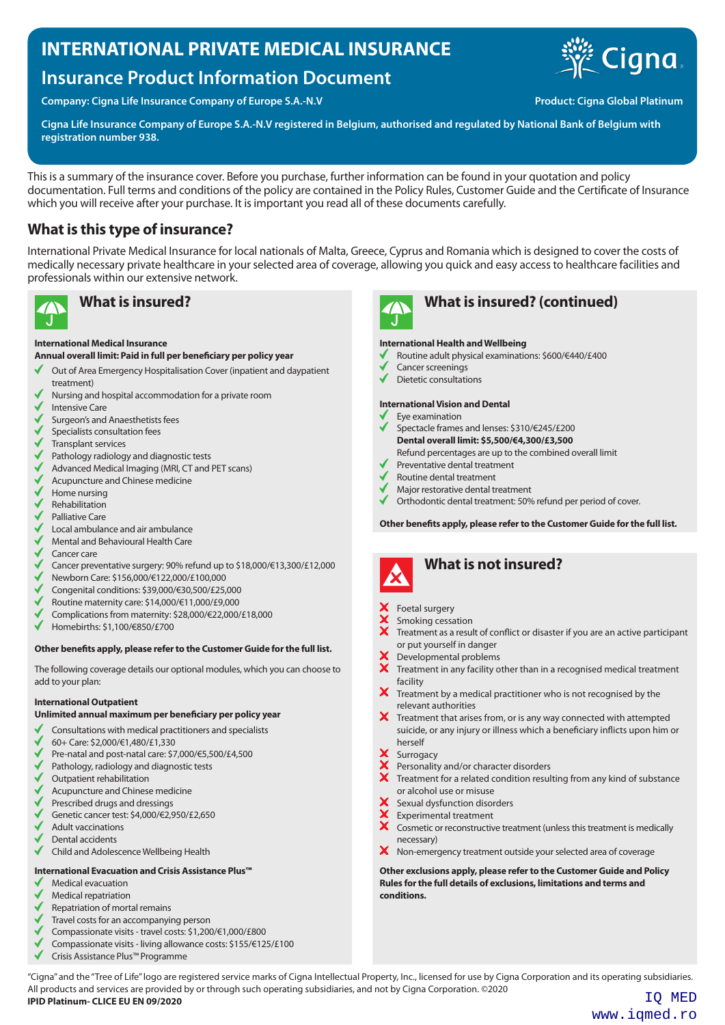### **INTERNATIONAL PRIVATE MEDICAL INSURANCE**

## **Insurance Product Information Document**

**Company: Cigna Life Insurance Company of Europe S.A.-N.V Company of Europe S.A.-N.V Product: Cigna Global Platinum** 



**Cigna Life Insurance Company of Europe S.A.-N.V registered in Belgium, authorised and regulated by National Bank of Belgium with registration number 938.**

This is a summary of the insurance cover. Before you purchase, further information can be found in your quotation and policy documentation. Full terms and conditions of the policy are contained in the Policy Rules, Customer Guide and the Certificate of Insurance which you will receive after your purchase. It is important you read all of these documents carefully.

### **What is this type of insurance?**

International Private Medical Insurance for local nationals of Malta, Greece, Cyprus and Romania which is designed to cover the costs of medically necessary private healthcare in your selected area of coverage, allowing you quick and easy access to healthcare facilities and professionals within our extensive network.



#### **International Medical Insurance**

**Annual overall limit: Paid in full per beneficiary per policy year**

- Out of Area Emergency Hospitalisation Cover (inpatient and daypatient √ treatment)
- Nursing and hospital accommodation for a private room
- Intensive Care
- Surgeon's and Anaesthetists fees
- Specialists consultation fees
- Transplant services
- Pathology radiology and diagnostic tests
- Advanced Medical Imaging (MRI, CT and PET scans)
- $\checkmark$ Acupuncture and Chinese medicine
- $\checkmark$ Home nursing
- Rehabilitation
- Palliative Care
- Local ambulance and air ambulance
- Mental and Behavioural Health Care
- Cancer care
- Cancer preventative surgery: 90% refund up to \$18,000/€13,300/£12,000
- Newborn Care: \$156,000/€122,000/£100,000
- Congenital conditions: \$39,000/€30,500/£25,000
- Routine maternity care: \$14,000/€11,000/£9,000
- Complications from maternity: \$28,000/€22,000/£18,000
- Homebirths: \$1,100/€850/£700

#### **Other benefits apply, please refer to the Customer Guide for the full list.**

The following coverage details our optional modules, which you can choose to add to your plan:

#### **International Outpatient**

**Unlimited annual maximum per beneficiary per policy year**

- Consultations with medical practitioners and specialists
- 60+ Care: \$2,000/€1,480/£1,330
- Pre-natal and post-natal care: \$7,000/€5,500/£4,500
- Pathology, radiology and diagnostic tests
- Outpatient rehabilitation
- Acupuncture and Chinese medicine
- Prescribed drugs and dressings
- Genetic cancer test: \$4,000/€2,950/£2,650
- Adult vaccinations
- Dental accidents
- Child and Adolescence Wellbeing Health

#### **International Evacuation and Crisis Assistance Plus™**

- Medical evacuation
- Medical repatriation
- Repatriation of mortal remains
- Travel costs for an accompanying person
- Compassionate visits travel costs: \$1,200/€1,000/£800
- Compassionate visits living allowance costs: \$155/€125/£100
- Crisis Assistance Plus™ Programme



### **What is insured? What is insured? (continued)**

#### **International Health and Wellbeing**

- Routine adult physical examinations: \$600/€440/£400
- Cancer screenings
- Dietetic consultations

#### **International Vision and Dental**

- Eye examination
- Spectacle frames and lenses: \$310/€245/£200
- **Dental overall limit: \$5,500/€4,300/£3,500** Refund percentages are up to the combined overall limit
- Preventative dental treatment
- Routine dental treatment
- Major restorative dental treatment
- Orthodontic dental treatment: 50% refund per period of cover.

**Other benefits apply, please refer to the Customer Guide for the full list.**



### **What is not insured?**

- X Foetal surgery<br>
X Smoking cessa<br>
X Treatment as a
- Smoking cessation
- Treatment as a result of conflict or disaster if you are an active participant or put yourself in danger
- Developmental problems
- Treatment in any facility other than in a recognised medical treatment facility
- $\boldsymbol{\times}$  Treatment by a medical practitioner who is not recognised by the relevant authorities
- X Treatment that arises from, or is any way connected with attempted suicide, or any injury or illness which a beneficiary inflicts upon him or herself
- X Surrogacy
- Personality and/or character disorders
- $\bm{X}$  Treatment for a related condition resulting from any kind of substance or alcohol use or misuse
- X Sexual dysfunction disorders
- Experimental treatment<br>  $\overline{\mathsf{X}}$  Cosmetic or reconstructive
- Cosmetic or reconstructive treatment (unless this treatment is medically necessary)
- X Non-emergency treatment outside your selected area of coverage

**Other exclusions apply, please refer to the Customer Guide and Policy Rules for the full details of exclusions, limitations and terms and conditions.**

"Cigna" and the "Tree of Life" logo are registered service marks of Cigna Intellectual Property, Inc., licensed for use by Cigna Corporation and its operating subsidiaries. All products and services are provided by or through such operating subsidiaries, and not by Cigna Corporation. ©2020 **IPID Platinum- CLICE EU EN 09/2020** IQ MED